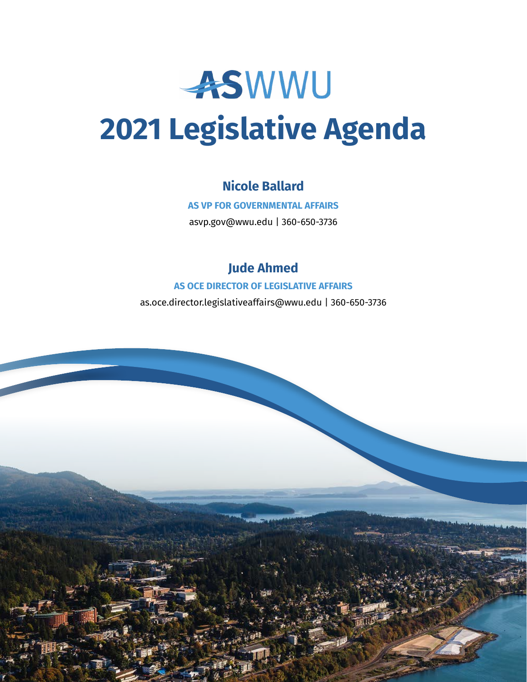

# **2021 Legislative Agenda**

# **Nicole Ballard**

**AS VP FOR GOVERNMENTAL AFFAIRS**

asvp.gov@wwu.edu | 360-650-3736

# **Jude Ahmed**

#### **AS OCE DIRECTOR OF LEGISLATIVE AFFAIRS**

as.oce.director.legislativeaffairs@wwu.edu | 360-650-3736

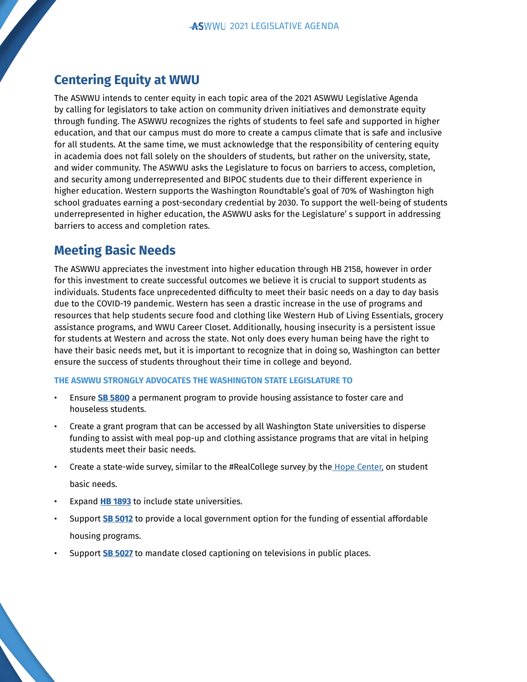## **Centering Equity at WWU**

The ASWWU intends to center equity in each topic area of the 2021 ASWWU Legislative Agenda by calling for legislators to take action on community driven initiatives and demonstrate equity through funding. The ASWWU recognizes the rights of students to feel safe and supported in higher education, and that our campus must do more to create a campus climate that is safe and inclusive for all students. At the same time, we must acknowledge that the responsibility of centering equity in academia does not fall solely on the shoulders of students, but rather on the university, state, and wider community. The ASWWU asks the Legislature to focus on barriers to access, completion, and security among underrepresented and BIPOC students due to their different experience in higher education. Western supports the Washington Roundtable's goal of 70% of Washington high school graduates earning a post-secondary credential by 2030. To support the well-being of students underrepresented in higher education, the ASWWU asks for the Legislature' s support in addressing barriers to access and completion rates.

## **Meeting Basic Needs**

The ASWWU appreciates the investment into higher education through HB 2158, however in order for this investment to create successful outcomes we believe it is crucial to support students as individuals. Students face unprecedented difficulty to meet their basic needs on a day to day basis due to the COVID-19 pandemic. Western has seen a drastic increase in the use of programs and resources that help students secure food and clothing like Western Hub of Living Essentials, grocery assistance programs, and WWU Career Closet. Additionally, housing insecurity is a persistent issue for students at Western and across the state. Not only does every human being have the right to have their basic needs met, but it is important to recognize that in doing so, Washington can better ensure the success of students throughout their time in college and beyond.

- Ensure **[SB 5800](http://lawfilesext.leg.wa.gov/biennium/2019-20/Pdf/Bills/Session%20Laws/Senate/5800-S2.SL.pdf?q=20210102225727)** a permanent program to provide housing assistance to foster care and houseless students.
- Create a grant program that can be accessed by all Washington State universities to disperse funding to assist with meal pop-up and clothing assistance programs that are vital in helping students meet their basic needs.
- Create a state-wide surve[y](https://hope4college.com/), similar to the #RealCollege survey by th[e Hope Center,](https://hope4college.com/) on student basic needs.
- Expand **[HB 1893](https://app.leg.wa.gov/billsummary?BillNumber=1893&Year=2019)** to include state universities.
- Support **[SB 5012](https://app.leg.wa.gov/billsummary?billnumber=5012&year=2021)** to provide a local government option for the funding of essential affordable housing programs.
- Support **[SB 5027](https://app.leg.wa.gov/billsummary?billnumber=5027&year=2021)** to mandate closed captioning on televisions in public places.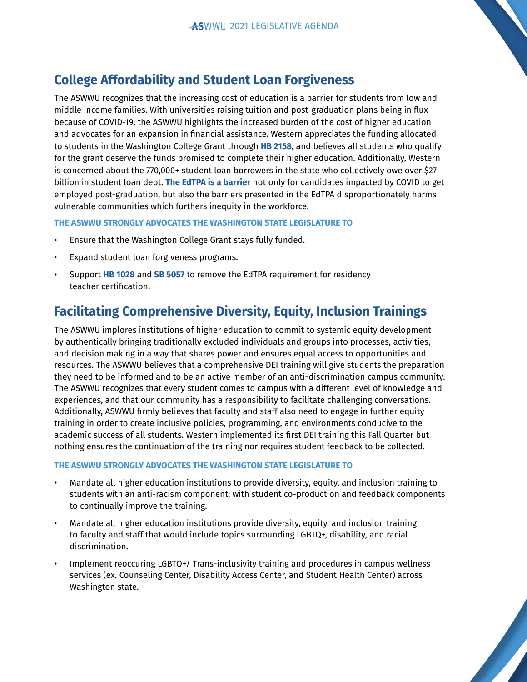## **College Affordability and Student Loan Forgiveness**

The ASWWU recognizes that the increasing cost of education is a barrier for students from low and middle income families. With universities raising tuition and post-graduation plans being in flux because of COVID-19, the ASWWU highlights the increased burden of the cost of higher education and advocates for an expansion in financial assistance. Western appreciates the funding allocated to students in the Washington College Grant through **[HB 2158](https://app.leg.wa.gov/billsummary?BillNumber=2158&Initiative=false&Year=2019)**, and believes all students who qualify for the grant deserve the funds promised to complete their higher education. Additionally, Western is concerned about the 770,000+ student loan borrowers in the state who collectively owe over \$27 billion in student loan debt. **[The EdTPA is a barrier](https://documentcloud.adobe.com/link/review?uri=urn:aaid:scds:US:a97d4966-b5e3-4a3c-81a4-b7151727a07d)** not only for candidates impacted by COVID to get employed post-graduation, but also the barriers presented in the EdTPA disproportionately harms vulnerable communities which furthers inequity in the workforce.

#### **THE ASWWU STRONGLY ADVOCATES THE WASHINGTON STATE LEGISLATURE TO**

- Ensure that the Washington College Grant stays fully funded.
- Expand student loan forgiveness programs.
- Support **[HB 1028](https://app.leg.wa.gov/billsummary?billnumber=1028&year=2021)** and **[SB 5057](https://app.leg.wa.gov/billsummary?BillNumber=5057&Year=2021&Initiative=false)** to remove the EdTPA requirement for residency teacher certification.

# **Facilitating Comprehensive Diversity, Equity, Inclusion Trainings**

The ASWWU implores institutions of higher education to commit to systemic equity development by authentically bringing traditionally excluded individuals and groups into processes, activities, and decision making in a way that shares power and ensures equal access to opportunities and resources. The ASWWU believes that a comprehensive DEI training will give students the preparation they need to be informed and to be an active member of an anti-discrimination campus community. The ASWWU recognizes that every student comes to campus with a different level of knowledge and experiences, and that our community has a responsibility to facilitate challenging conversations. Additionally, ASWWU firmly believes that faculty and staff also need to engage in further equity training in order to create inclusive policies, programming, and environments conducive to the academic success of all students. Western implemented its first DEI training this Fall Quarter but nothing ensures the continuation of the training nor requires student feedback to be collected.

- Mandate all higher education institutions to provide diversity, equity, and inclusion training to students with an anti-racism component; with student co-production and feedback components to continually improve the training.
- Mandate all higher education institutions provide diversity, equity, and inclusion training to faculty and staff that would include topics surrounding LGBTQ+, disability, and racial discrimination.
- Implement reoccuring LGBTQ+/ Trans-inclusivity training and procedures in campus wellness services (ex. Counseling Center, Disability Access Center, and Student Health Center) across Washington state.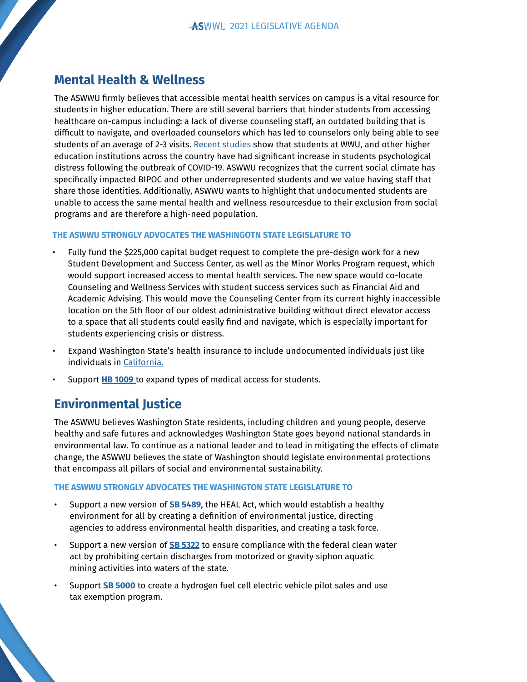## **Mental Health & Wellness**

The ASWWU firmly believes that accessible mental health services on campus is a vital resource for students in higher education. There are still several barriers that hinder students from accessing healthcare on-campus including: a lack of diverse counseling staff, an outdated building that is difficult to navigate, and overloaded counselors which has led to counselors only being able to see students of an average of 2-3 visits. [Recent studies](https://ccmh.psu.edu/index.php?option=com_dailyplanetblog&view=entry&year=2020&month=09&day=07&id=1:covid-impact-on-college-student-mental-health) show that students at WWU, and other higher education institutions across the country have had significant increase in students psychological distress following the outbreak of COVID-19. ASWWU recognizes that the current social climate has specifically impacted BIPOC and other underrepresented students and we value having staff that share those identities. Additionally, ASWWU wants to highlight that undocumented students are unable to access the same mental health and wellness resourcesdue to their exclusion from social programs and are therefore a high-need population.

#### **THE ASWWU STRONGLY ADVOCATES THE WASHINGOTN STATE LEGISLATURE TO**

- Fully fund the \$225,000 capital budget request to complete the pre-design work for a new Student Development and Success Center, as well as the Minor Works Program request, which would support increased access to mental health services. The new space would co-locate Counseling and Wellness Services with student success services such as Financial Aid and Academic Advising. This would move the Counseling Center from its current highly inaccessible location on the 5th floor of our oldest administrative building without direct elevator access to a space that all students could easily find and navigate, which is especially important for students experiencing crisis or distress.
- Expand Washington State's health insurance to include undocumented individuals just like individuals in [California.](https://www.npr.org/2019/07/10/740147546/california-first-state-to-offer-health-benefits-to-adult-undocumented-immigrants)
- Support **[HB 1009](https://app.leg.wa.gov/billsummary?billnumber=1009&year=2021)** to expand types of medical access for students.

## **Environmental Justice**

The ASWWU believes Washington State residents, including children and young people, deserve healthy and safe futures and acknowledges Washington State goes beyond national standards in environmental law. To continue as a national leader and to lead in mitigating the effects of climate change, the ASWWU believes the state of Washington should legislate environmental protections that encompass all pillars of social and environmental sustainability.

- Support a new version of **[SB 5489](https://app.leg.wa.gov/billsummary?BillNumber=5489&Initiative=false&Year=2019)**, the HEAL Act, which would establish a healthy environment for all by creating a definition of environmental justice, directing agencies to address environmental health disparities, and creating a task force.
- Support a new version of **[SB 5322](https://app.leg.wa.gov/billsummary?BillNumber=5322&Initiative=false&Year=2019)** to ensure compliance with the federal clean water act by prohibiting certain discharges from motorized or gravity siphon aquatic mining activities into waters of the state.
- Support **[SB 5000](https://app.leg.wa.gov/billsummary?billnumber=5000&year=2021)** to create a hydrogen fuel cell electric vehicle pilot sales and use tax exemption program.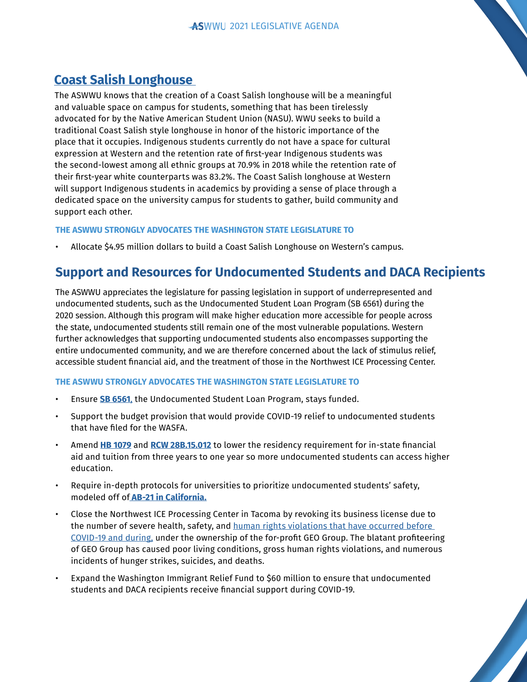## **[Coast Salish Longhouse](https://www.youtube.com/watch?v=B3IUHZ9eCBc&feature=youtu.be)**

The ASWWU knows that the creation of a Coast Salish longhouse will be a meaningful and valuable space on campus for students, something that has been tirelessly advocated for by the Native American Student Union (NASU). WWU seeks to build a traditional Coast Salish style longhouse in honor of the historic importance of the place that it occupies. Indigenous students currently do not have a space for cultural expression at Western and the retention rate of first-year Indigenous students was the second-lowest among all ethnic groups at 70.9% in 2018 while the retention rate of their first-year white counterparts was 83.2%. The Coast Salish longhouse at Western will support Indigenous students in academics by providing a sense of place through a dedicated space on the university campus for students to gather, build community and support each other.

#### **THE ASWWU STRONGLY ADVOCATES THE WASHINGTON STATE LEGISLATURE TO**

• Allocate \$4.95 million dollars to build a Coast Salish Longhouse on Western's campus.

## **Support and Resources for Undocumented Students and DACA Recipients**

The ASWWU appreciates the legislature for passing legislation in support of underrepresented and undocumented students, such as the Undocumented Student Loan Program (SB 6561) during the 2020 session. Although this program will make higher education more accessible for people across the state, undocumented students still remain one of the most vulnerable populations. Western further acknowledges that supporting undocumented students also encompasses supporting the entire undocumented community, and we are therefore concerned about the lack of stimulus relief, accessible student financial aid, and the treatment of those in the Northwest ICE Processing Center.

- Ensure **[SB 6561](https://app.leg.wa.gov/billsummary?BillNumber=6561&Year=2019&Initiative=false)**, the Undocumented Student Loan Program, stays funded.
- Support the budget provision that would provide COVID-19 relief to undocumented students that have filed for the WASFA.
- Amend **[HB 1079](https://app.leg.wa.gov/billsummary?BillNumber=1079&Year=2003&Initiative=false)** and **[RCW 28B.15.012](https://app.leg.wa.gov/rcw/default.aspx?cite=28b.15.012)** to lower the residency requirement for in-state financial aid and tuition from three years to one year so more undocumented students can access higher education.
- Require in-depth protocols for universities to prioritize undocumented students' safety, modeled off of **[AB-21 in California.](https://leginfo.legislature.ca.gov/faces/billTextClient.xhtml?bill_id=201720180AB21)**
- Close the Northwest ICE Processing Center in Tacoma by revoking its business license due to the number of severe health, safety, and human rights violations that have occurred before [COVID-19 and during,](https://jsis.washington.edu/humanrights/wp-content/uploads/sites/22/2020/12/UW-Legal-Appendix-State-and-Local-Authority-NWDC-FINAL.pdf) under the ownership of the for-profit GEO Group. The blatant profiteering of GEO Group has caused poor living conditions, gross human rights violations, and numerous incidents of hunger strikes, suicides, and deaths.
- Expand the Washington Immigrant Relief Fund to \$60 million to ensure that undocumented students and DACA recipients receive financial support during COVID-19.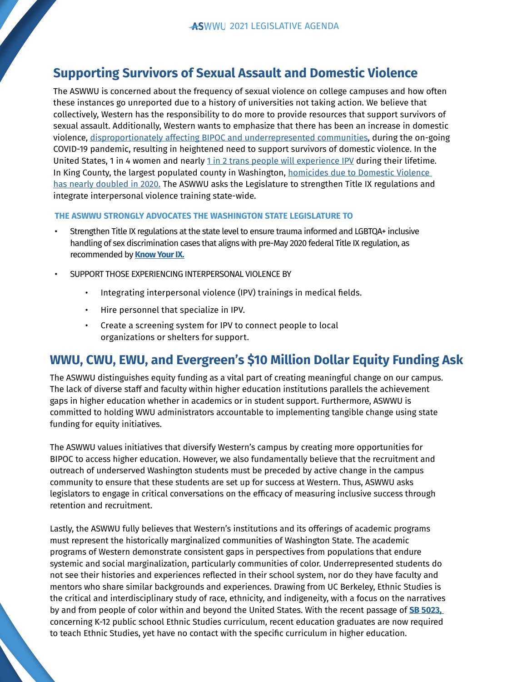## **Supporting Survivors of Sexual Assault and Domestic Violence**

The ASWWU is concerned about the frequency of sexual violence on college campuses and how often these instances go unreported due to a history of universities not taking action. We believe that collectively, Western has the responsibility to do more to provide resources that support survivors of sexual assault. Additionally, Western wants to emphasize that there has been an increase in domestic violence, [disproportionately affecting BIPOC and underrepresented communities](https://wscadv.org/news/impact-of-covid-19-on-domestic-violence-survivors/), during the on-going COVID-19 pandemic, resulting in heightened need to support survivors of domestic violence. In the United States, 1 in 4 women and nearly [1 in 2 trans people will experience IPV](https://static1.squarespace.com/static/56a24df4d8af10a5072bed7c/t/5f358b263ca8db1d891a3fc9/1597344678710/Survivors+Know+Best+Report.pdf) during their lifetime. In King County, the largest populated county in Washington, homicides due to Domestic Violence [has nearly doubled in 2020.](https://www.kingcounty.gov/depts/health/covid-19/~/media/depts/health/communicable-diseases/documents/C19/domestic-violence-patterns-in-king-county.ashx) The ASWWU asks the Legislature to strengthen Title IX regulations and integrate interpersonal violence training state-wide.

#### **THE ASWWU STRONGLY ADVOCATES THE WASHINGTON STATE LEGISLATURE TO**

- Strengthen Title IX regulations at the state level to ensure trauma informed and LGBTQA+ inclusive handling of sex discrimination cases that aligns with pre-May 2020 federal Title IX regulation, as recommended by **[Know Your IX.](https://documentcloud.adobe.com/link/review?uri=urn:aaid:scds:US:768db1f1-d86c-489c-b746-2c4a2f973ada)**
- SUPPORT THOSE EXPERIENCING INTERPERSONAL VIOLENCE BY
	- Integrating interpersonal violence (IPV) trainings in medical fields.
	- Hire personnel that specialize in IPV.
	- Create a screening system for IPV to connect people to local organizations or shelters for support.

## **WWU, CWU, EWU, and Evergreen's \$10 Million Dollar Equity Funding Ask**

The ASWWU distinguishes equity funding as a vital part of creating meaningful change on our campus. The lack of diverse staff and faculty within higher education institutions parallels the achievement gaps in higher education whether in academics or in student support. Furthermore, ASWWU is committed to holding WWU administrators accountable to implementing tangible change using state funding for equity initiatives.

The ASWWU values initiatives that diversify Western's campus by creating more opportunities for BIPOC to access higher education. However, we also fundamentally believe that the recruitment and outreach of underserved Washington students must be preceded by active change in the campus community to ensure that these students are set up for success at Western. Thus, ASWWU asks legislators to engage in critical conversations on the efficacy of measuring inclusive success through retention and recruitment.

Lastly, the ASWWU fully believes that Western's institutions and its offerings of academic programs must represent the historically marginalized communities of Washington State. The academic programs of Western demonstrate consistent gaps in perspectives from populations that endure systemic and social marginalization, particularly communities of color. Underrepresented students do not see their histories and experiences reflected in their school system, nor do they have faculty and mentors who share similar backgrounds and experiences. Drawing from UC Berkeley, Ethnic Studies is the critical and interdisciplinary study of race, ethnicity, and indigeneity, with a focus on the narratives by and from people of color within and beyond the United States. With the recent passage of **[SB 5023,](https://app.leg.wa.gov/billsummary?BillNumber=5023&Initiative=false&Year=2019)**  concerning K-12 public school Ethnic Studies curriculum, recent education graduates are now required to teach Ethnic Studies, yet have no contact with the specific curriculum in higher education.